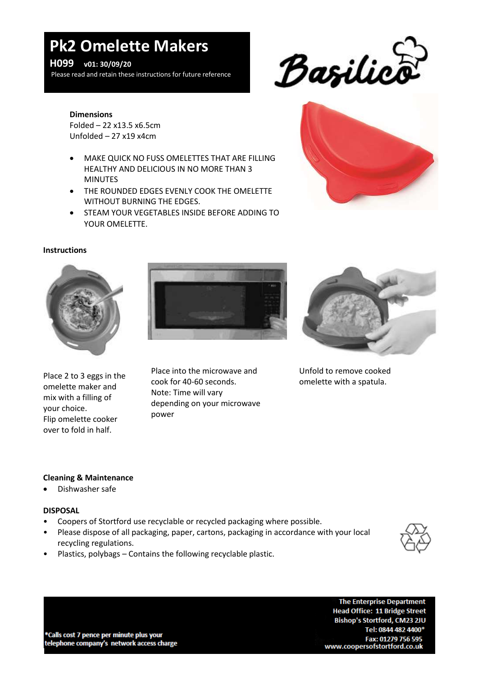# **Pk2 Omelette Makers**

### **H099 v01: 30/09/20**

Please read and retain these instructions for future reference



#### **Dimensions**

Folded – 22 x13.5 x6.5cm Unfolded – 27 x19 x4cm

- MAKE QUICK NO FUSS OMELETTES THAT ARE FILLING HEALTHY AND DELICIOUS IN NO MORE THAN 3 MINUTES
- THE ROUNDED EDGES EVENLY COOK THE OMELETTE WITHOUT BURNING THE EDGES.
- STEAM YOUR VEGETABLES INSIDE BEFORE ADDING TO YOUR OMELETTE.



#### **Instructions**



Place 2 to 3 eggs in the omelette maker and mix with a filling of your choice. Flip omelette cooker over to fold in half.



Place into the microwave and cook for 40-60 seconds. Note: Time will vary depending on your microwave power



Unfold to remove cooked omelette with a spatula.

#### **Cleaning & Maintenance**

**.** Dishwasher safe

#### **DISPOSAL**

- Coopers of Stortford use recyclable or recycled packaging where possible.
- Please dispose of all packaging, paper, cartons, packaging in accordance with your local recycling regulations.



• Plastics, polybags – Contains the following recyclable plastic.

\*Calls cost 7 pence per minute plus your telephone company's network access charge

**The Enterprise Department Head Office: 11 Bridge Street** Bishop's Stortford, CM23 2JU Tel: 0844 482 4400\* Fax: 01279 756 595 www.coopersofstortford.co.uk